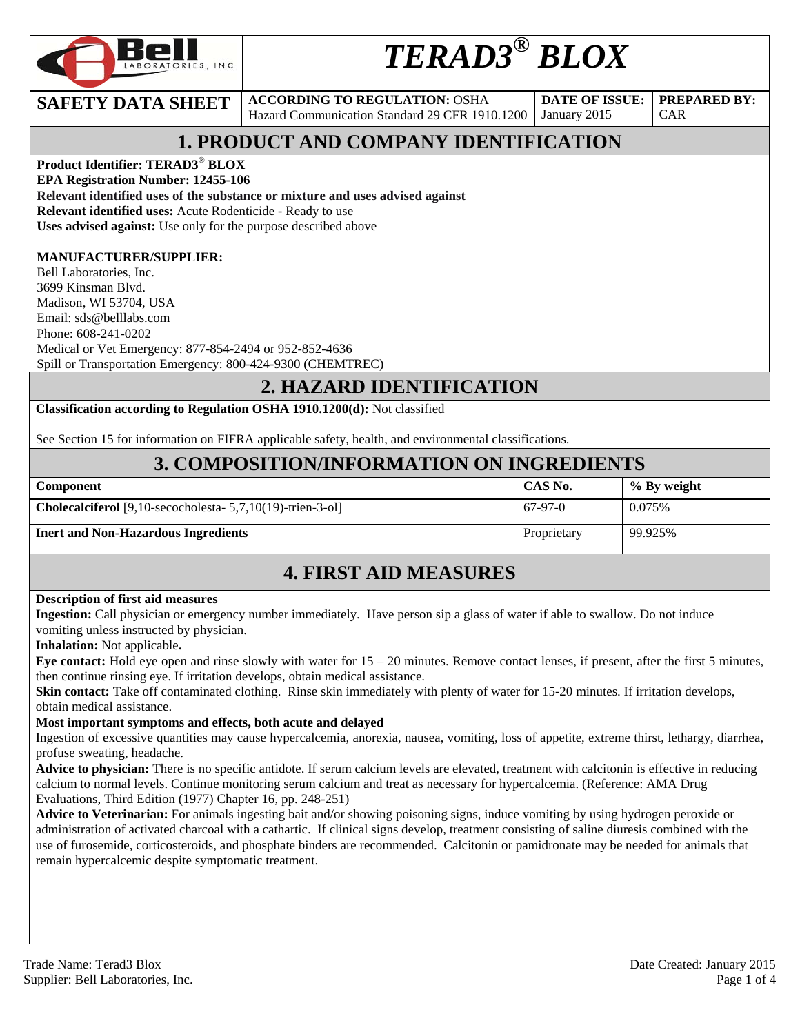

# *TERAD3® BLOX*

**SAFETY DATA SHEET** ACCORDING TO REGULATION: OSHA Hazard Communication Standard 29 CFR 1910.1200

**DATE OF ISSUE:**  January 2015

CAR

**PREPARED BY:** 

## **1. PRODUCT AND COMPANY IDENTIFICATION**

**Product Identifier: TERAD3**® **BLOX** 

**EPA Registration Number: 12455-106** 

**Relevant identified uses of the substance or mixture and uses advised against**

**Relevant identified uses:** Acute Rodenticide - Ready to use

**Uses advised against:** Use only for the purpose described above

#### **MANUFACTURER/SUPPLIER:**

Bell Laboratories, Inc. 3699 Kinsman Blvd. Madison, WI 53704, USA Email: sds@belllabs.com Phone: 608-241-0202 Medical or Vet Emergency: 877-854-2494 or 952-852-4636 Spill or Transportation Emergency: 800-424-9300 (CHEMTREC)

### **2. HAZARD IDENTIFICATION**

**Classification according to Regulation OSHA 1910.1200(d):** Not classified

See Section 15 for information on FIFRA applicable safety, health, and environmental classifications.

### **3. COMPOSITION/INFORMATION ON INGREDIENTS**

| <b>Component</b>                                                     | CAS No.     | $\%$ By weight |
|----------------------------------------------------------------------|-------------|----------------|
| <b>Cholecalciferol</b> [9,10-secocholesta- $5,7,10(19)$ -trien-3-ol] | $67-97-0$   | 0.075%         |
| <b>Inert and Non-Hazardous Ingredients</b>                           | Proprietary | 99.925%        |

### **4. FIRST AID MEASURES**

#### **Description of first aid measures**

**Ingestion:** Call physician or emergency number immediately. Have person sip a glass of water if able to swallow. Do not induce vomiting unless instructed by physician.

**Inhalation:** Not applicable**.** 

**Eye contact:** Hold eye open and rinse slowly with water for 15 – 20 minutes. Remove contact lenses, if present, after the first 5 minutes, then continue rinsing eye. If irritation develops, obtain medical assistance.

**Skin contact:** Take off contaminated clothing. Rinse skin immediately with plenty of water for 15-20 minutes. If irritation develops, obtain medical assistance.

#### **Most important symptoms and effects, both acute and delayed**

Ingestion of excessive quantities may cause hypercalcemia, anorexia, nausea, vomiting, loss of appetite, extreme thirst, lethargy, diarrhea, profuse sweating, headache.

**Advice to physician:** There is no specific antidote. If serum calcium levels are elevated, treatment with calcitonin is effective in reducing calcium to normal levels. Continue monitoring serum calcium and treat as necessary for hypercalcemia. (Reference: AMA Drug Evaluations, Third Edition (1977) Chapter 16, pp. 248-251)

**Advice to Veterinarian:** For animals ingesting bait and/or showing poisoning signs, induce vomiting by using hydrogen peroxide or administration of activated charcoal with a cathartic. If clinical signs develop, treatment consisting of saline diuresis combined with the use of furosemide, corticosteroids, and phosphate binders are recommended. Calcitonin or pamidronate may be needed for animals that remain hypercalcemic despite symptomatic treatment.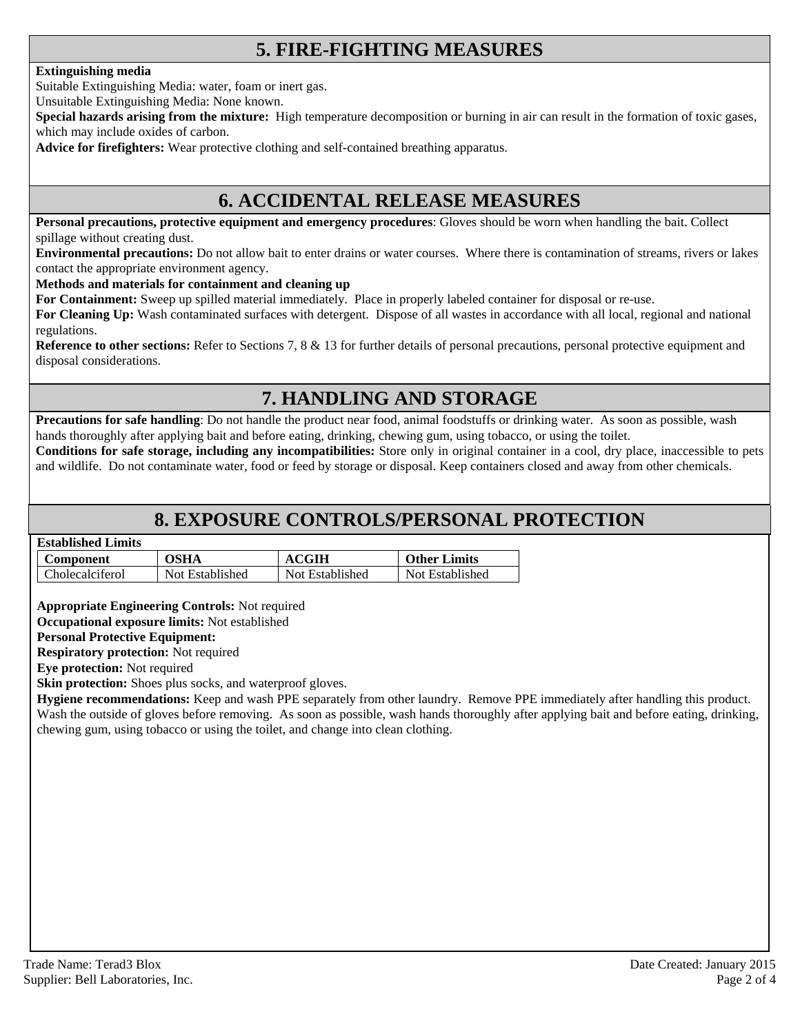### **5. FIRE-FIGHTING MEASURES**

#### **Extinguishing media**

Suitable Extinguishing Media: water, foam or inert gas.

Unsuitable Extinguishing Media: None known.

**Special hazards arising from the mixture:** High temperature decomposition or burning in air can result in the formation of toxic gases, which may include oxides of carbon.

**Advice for firefighters:** Wear protective clothing and self-contained breathing apparatus.

### **6. ACCIDENTAL RELEASE MEASURES**

**Personal precautions, protective equipment and emergency procedures**: Gloves should be worn when handling the bait. Collect spillage without creating dust.

**Environmental precautions:** Do not allow bait to enter drains or water courses. Where there is contamination of streams, rivers or lakes contact the appropriate environment agency.

**Methods and materials for containment and cleaning up**

**For Containment:** Sweep up spilled material immediately. Place in properly labeled container for disposal or re-use.

**For Cleaning Up:** Wash contaminated surfaces with detergent. Dispose of all wastes in accordance with all local, regional and national regulations.

**Reference to other sections:** Refer to Sections 7, 8 & 13 for further details of personal precautions, personal protective equipment and disposal considerations.

### **7. HANDLING AND STORAGE**

**Precautions for safe handling**: Do not handle the product near food, animal foodstuffs or drinking water. As soon as possible, wash hands thoroughly after applying bait and before eating, drinking, chewing gum, using tobacco, or using the toilet.

**Conditions for safe storage, including any incompatibilities:** Store only in original container in a cool, dry place, inaccessible to pets and wildlife. Do not contaminate water, food or feed by storage or disposal. Keep containers closed and away from other chemicals.

### **8. EXPOSURE CONTROLS/PERSONAL PROTECTION**

#### **Established Limits**

| Component              | <b>OSHA</b>     | <b>ACGIH</b>    | <b>Other Limits</b> |
|------------------------|-----------------|-----------------|---------------------|
| <b>Cholecalciferol</b> | Not Established | Not Established | Not Established     |

**Appropriate Engineering Controls:** Not required

**Occupational exposure limits:** Not established

#### **Personal Protective Equipment:**

**Respiratory protection:** Not required

**Eye protection:** Not required

**Skin protection:** Shoes plus socks, and waterproof gloves.

**Hygiene recommendations:** Keep and wash PPE separately from other laundry. Remove PPE immediately after handling this product. Wash the outside of gloves before removing. As soon as possible, wash hands thoroughly after applying bait and before eating, drinking, chewing gum, using tobacco or using the toilet, and change into clean clothing.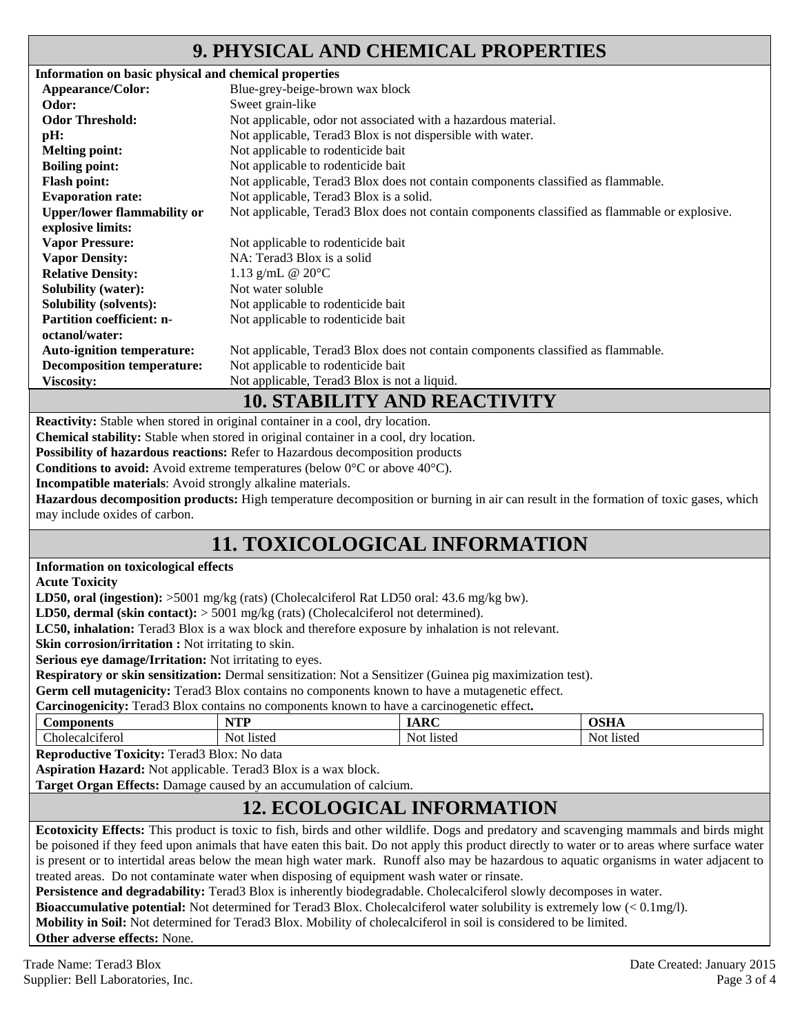### **9. PHYSICAL AND CHEMICAL PROPERTIES**

| Information on basic physical and chemical properties |                                                                                               |
|-------------------------------------------------------|-----------------------------------------------------------------------------------------------|
| Appearance/Color:                                     | Blue-grey-beige-brown wax block                                                               |
| Odor:                                                 | Sweet grain-like                                                                              |
| <b>Odor Threshold:</b>                                | Not applicable, odor not associated with a hazardous material.                                |
| pH:                                                   | Not applicable, Terad3 Blox is not dispersible with water.                                    |
| <b>Melting point:</b>                                 | Not applicable to rodenticide bait                                                            |
| <b>Boiling point:</b>                                 | Not applicable to rodenticide bait                                                            |
| <b>Flash point:</b>                                   | Not applicable, Terad3 Blox does not contain components classified as flammable.              |
| <b>Evaporation rate:</b>                              | Not applicable, Terad3 Blox is a solid.                                                       |
| <b>Upper/lower flammability or</b>                    | Not applicable, Terad3 Blox does not contain components classified as flammable or explosive. |
| explosive limits:                                     |                                                                                               |
| <b>Vapor Pressure:</b>                                | Not applicable to rodenticide bait                                                            |
| <b>Vapor Density:</b>                                 | NA: Terad3 Blox is a solid                                                                    |
| <b>Relative Density:</b>                              | 1.13 g/mL @ $20^{\circ}$ C                                                                    |
| <b>Solubility (water):</b>                            | Not water soluble                                                                             |
| <b>Solubility (solvents):</b>                         | Not applicable to rodenticide bait                                                            |
| <b>Partition coefficient: n-</b>                      | Not applicable to rodenticide bait                                                            |
| octanol/water:                                        |                                                                                               |
| <b>Auto-ignition temperature:</b>                     | Not applicable, Terad3 Blox does not contain components classified as flammable.              |
| <b>Decomposition temperature:</b>                     | Not applicable to rodenticide bait                                                            |
| <b>Viscosity:</b>                                     | Not applicable, Terad3 Blox is not a liquid.                                                  |
|                                                       | <b>10. STABILITY AND REACTIVITY</b>                                                           |

**Reactivity:** Stable when stored in original container in a cool, dry location.

**Chemical stability:** Stable when stored in original container in a cool, dry location.

**Possibility of hazardous reactions:** Refer to Hazardous decomposition products

**Conditions to avoid:** Avoid extreme temperatures (below 0°C or above 40°C).

**Incompatible materials**: Avoid strongly alkaline materials.

**Hazardous decomposition products:** High temperature decomposition or burning in air can result in the formation of toxic gases, which may include oxides of carbon.

## **11. TOXICOLOGICAL INFORMATION**

#### **Information on toxicological effects**

**Acute Toxicity** 

LD50, oral (ingestion):  $>5001$  mg/kg (rats) (Cholecalciferol Rat LD50 oral: 43.6 mg/kg bw).

**LD50, dermal (skin contact):** > 5001 mg/kg (rats) (Cholecalciferol not determined).

**LC50, inhalation:** Terad3 Blox is a wax block and therefore exposure by inhalation is not relevant.

**Skin corrosion/irritation :** Not irritating to skin.

**Serious eye damage/Irritation:** Not irritating to eyes.

**Respiratory or skin sensitization:** Dermal sensitization: Not a Sensitizer (Guinea pig maximization test).

**Germ cell mutagenicity:** Terad3 Blox contains no components known to have a mutagenetic effect.

**Carcinogenicity:** Terad3 Blox contains no components known to have a carcinogenetic effect**.** 

| -<br>Con<br>onents              | $\sqrt{17111}$<br>n<br>.           |               | $\sim$ $\sim$ $\sim$<br>בעגע |
|---------------------------------|------------------------------------|---------------|------------------------------|
| $\sim$<br>`hole≀<br>`calciterol | l 1 e tar<br>$N^*$<br>v v<br>115WU | Not<br>listed | Not.<br>listed               |

**Reproductive Toxicity:** Terad3 Blox: No data

**Aspiration Hazard:** Not applicable. Terad3 Blox is a wax block.

**Target Organ Effects:** Damage caused by an accumulation of calcium.

### **12. ECOLOGICAL INFORMATION**

**Ecotoxicity Effects:** This product is toxic to fish, birds and other wildlife. Dogs and predatory and scavenging mammals and birds might be poisoned if they feed upon animals that have eaten this bait. Do not apply this product directly to water or to areas where surface water is present or to intertidal areas below the mean high water mark. Runoff also may be hazardous to aquatic organisms in water adjacent to treated areas. Do not contaminate water when disposing of equipment wash water or rinsate.

**Persistence and degradability:** Terad3 Blox is inherently biodegradable. Cholecalciferol slowly decomposes in water.

**Bioaccumulative potential:** Not determined for Terad3 Blox. Cholecalciferol water solubility is extremely low  $\langle 0.1 \text{mg/}1 \rangle$ .

**Mobility in Soil:** Not determined for Terad3 Blox. Mobility of cholecalciferol in soil is considered to be limited.

**Other adverse effects:** None.